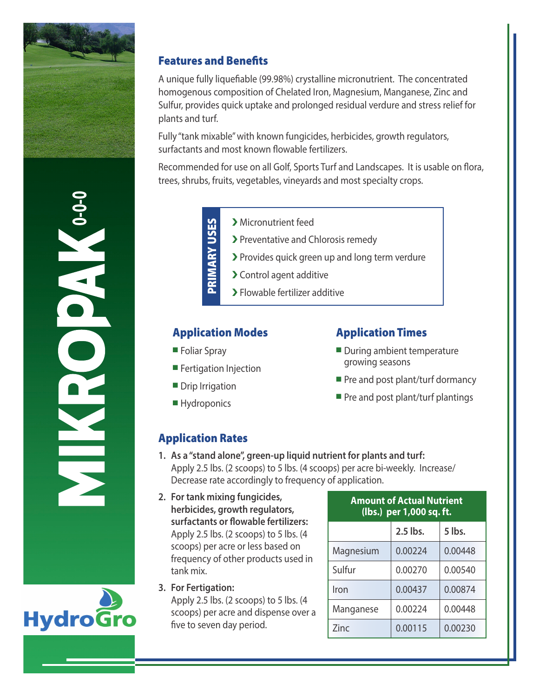

**0-0-0**

**Hydrogro** 

### Features and Benefits

A unique fully liquefiable (99.98%) crystalline micronutrient. The concentrated homogenous composition of Chelated Iron, Magnesium, Manganese, Zinc and Sulfur, provides quick uptake and prolonged residual verdure and stress relief for plants and turf.

Fully "tank mixable" with known fungicides, herbicides, growth regulators, surfactants and most known flowable fertilizers.

Recommended for use on all Golf, Sports Turf and Landscapes. It is usable on flora, trees, shrubs, fruits, vegetables, vineyards and most specialty crops.

- PRIMARY USES PRIMARY USES
	- � Micronutrient feed
	- > Preventative and Chlorosis remedy
	- � Provides quick green up and long term verdure
	- > Control agent additive
	- � Flowable fertilizer additive

#### Application Modes

- **Foliar Spray**
- **Fertigation Injection**
- Drip Irrigation
- **Hydroponics**

### Application Times

- $\blacksquare$  During ambient temperature growing seasons
- $\blacksquare$  Pre and post plant/turf dormancy
- $\blacksquare$  Pre and post plant/turf plantings

## Application Rates

- **1. As a "stand alone", green-up liquid nutrient for plants and turf:** Apply 2.5 lbs. (2 scoops) to 5 lbs. (4 scoops) per acre bi-weekly. Increase/ Decrease rate accordingly to frequency of application.
- **2. For tank mixing fungicides, herbicides, growth regulators, surfactants or flowable fertilizers:** Apply 2.5 lbs. (2 scoops) to 5 lbs. (4 scoops) per acre or less based on frequency of other products used in tank mix.
- **3. For Fertigation:** Apply 2.5 lbs. (2 scoops) to 5 lbs. (4 scoops) per acre and dispense over a five to seven day period.

| <b>Amount of Actual Nutrient</b><br>(lbs.) per 1,000 sq. ft. |          |         |  |
|--------------------------------------------------------------|----------|---------|--|
|                                                              | 2.5 lbs. | 5 lbs.  |  |
| Magnesium                                                    | 0.00224  | 0.00448 |  |
| Sulfur                                                       | 0.00270  | 0.00540 |  |
| Iron                                                         | 0.00437  | 0.00874 |  |
| Manganese                                                    | 0.00224  | 0.00448 |  |
| 7inc                                                         | 0.00115  | 0.00230 |  |